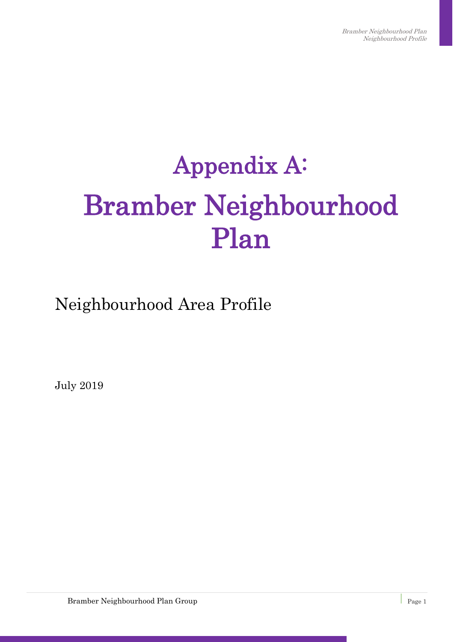# Appendix A: Bramber Neighbourhood Plan

Neighbourhood Area Profile

July 2019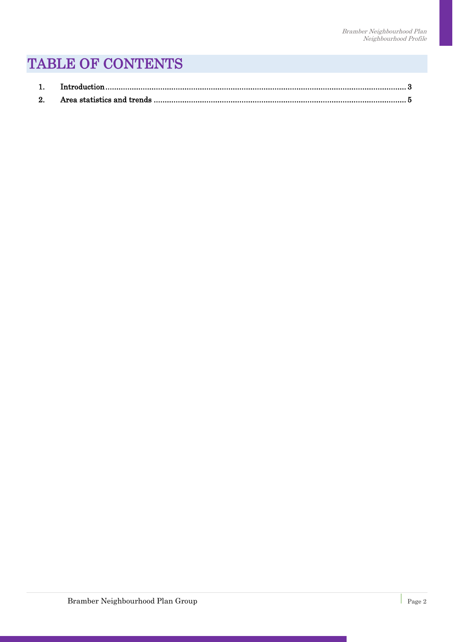#### TABLE OF CONTENTS

| 2. |  |
|----|--|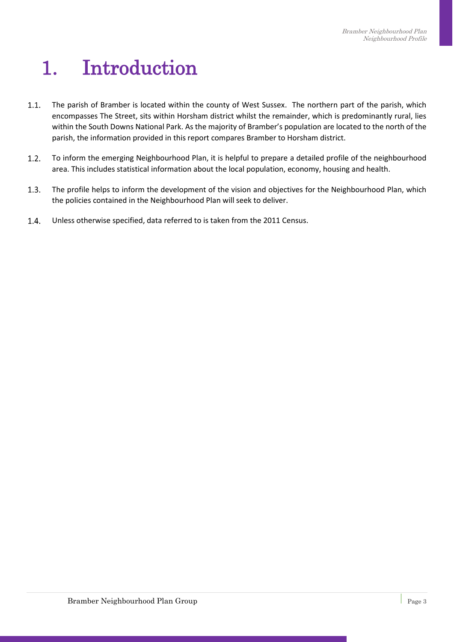## <span id="page-2-0"></span>1. Introduction

- $1.1.$ The parish of Bramber is located within the county of West Sussex. The northern part of the parish, which encompasses The Street, sits within Horsham district whilst the remainder, which is predominantly rural, lies within the South Downs National Park. As the majority of Bramber's population are located to the north of the parish, the information provided in this report compares Bramber to Horsham district.
- $1.2.$ To inform the emerging Neighbourhood Plan, it is helpful to prepare a detailed profile of the neighbourhood area. This includes statistical information about the local population, economy, housing and health.
- $1.3.$ The profile helps to inform the development of the vision and objectives for the Neighbourhood Plan, which the policies contained in the Neighbourhood Plan will seek to deliver.
- $1.4.$ Unless otherwise specified, data referred to is taken from the 2011 Census.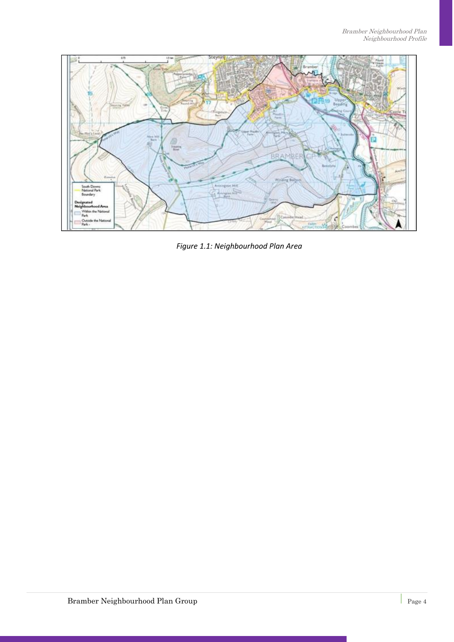

*Figure 1.1: Neighbourhood Plan Area*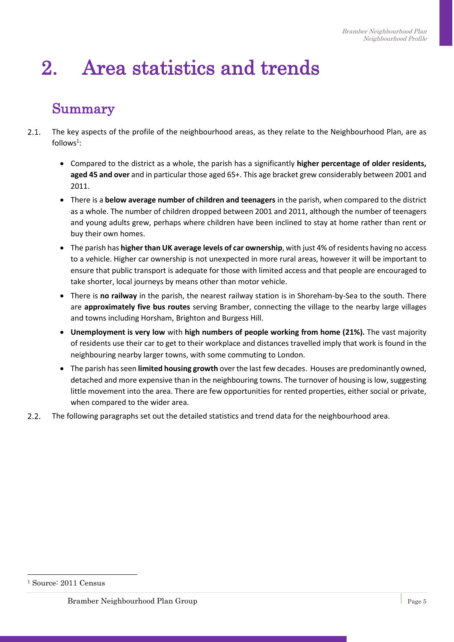### <span id="page-4-0"></span>2. Area statistics and trends

#### Summary

- $2.1.$ The key aspects of the profile of the neighbourhood areas, as they relate to the Neighbourhood Plan, are as  $follows<sup>1</sup>$ :
	- Compared to the district as a whole, the parish has a significantly **higher percentage of older residents, aged 45 and over** and in particular those aged 65+. This age bracket grew considerably between 2001 and 2011.
	- There is a **below average number of children and teenagers** in the parish, when compared to the district as a whole. The number of children dropped between 2001 and 2011, although the number of teenagers and young adults grew, perhaps where children have been inclined to stay at home rather than rent or buy their own homes.
	- The parish has **higher than UK average levels of car ownership**, with just 4% of residents having no access to a vehicle. Higher car ownership is not unexpected in more rural areas, however it will be important to ensure that public transport is adequate for those with limited access and that people are encouraged to take shorter, local journeys by means other than motor vehicle.
	- There is **no railway** in the parish, the nearest railway station is in Shoreham-by-Sea to the south. There are **approximately five bus routes** serving Bramber, connecting the village to the nearby large villages and towns including Horsham, Brighton and Burgess Hill.
	- **Unemployment is very low** with **high numbers of people working from home (21%).** The vast majority of residents use their car to get to their workplace and distances travelled imply that work is found in the neighbouring nearby larger towns, with some commuting to London.
	- The parish has seen **limited housing growth** over the last few decades. Houses are predominantly owned, detached and more expensive than in the neighbouring towns. The turnover of housing is low, suggesting little movement into the area. There are few opportunities for rented properties, either social or private, when compared to the wider area.
- $2.2.$ The following paragraphs set out the detailed statistics and trend data for the neighbourhood area.

 $\overline{a}$ 

<sup>1</sup> Source: 2011 Census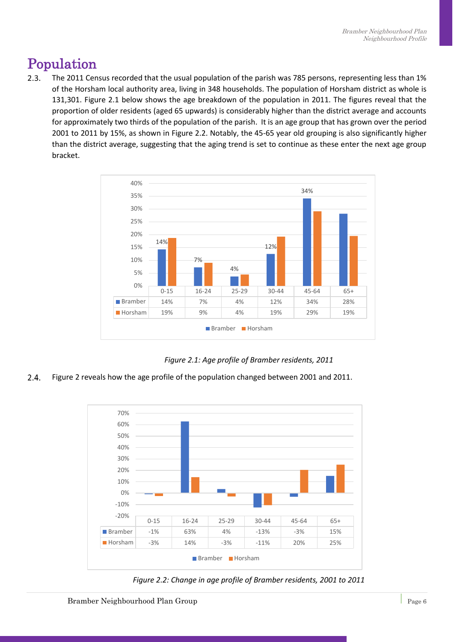#### Population

 $2.3.$ The 2011 Census recorded that the usual population of the parish was 785 persons, representing less than 1% of the Horsham local authority area, living in 348 households. The population of Horsham district as whole is 131,301. Figure 2.1 below shows the age breakdown of the population in 2011. The figures reveal that the proportion of older residents (aged 65 upwards) is considerably higher than the district average and accounts for approximately two thirds of the population of the parish. It is an age group that has grown over the period 2001 to 2011 by 15%, as shown in Figure 2.2. Notably, the 45-65 year old grouping is also significantly higher than the district average, suggesting that the aging trend is set to continue as these enter the next age group bracket.



*Figure 2.1: Age profile of Bramber residents, 2011*

 $2.4.$ Figure 2 reveals how the age profile of the population changed between 2001 and 2011.



*Figure 2.2: Change in age profile of Bramber residents, 2001 to 2011*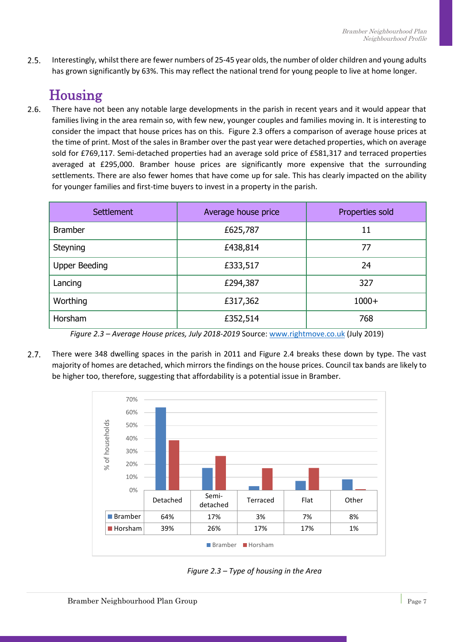$2.5.$ Interestingly, whilst there are fewer numbers of 25-45 year olds, the number of older children and young adults has grown significantly by 63%. This may reflect the national trend for young people to live at home longer.

### Housing

 $2.6.$ There have not been any notable large developments in the parish in recent years and it would appear that families living in the area remain so, with few new, younger couples and families moving in. It is interesting to consider the impact that house prices has on this. Figure 2.3 offers a comparison of average house prices at the time of print. Most of the sales in Bramber over the past year were detached properties, which on average sold for £769,117. Semi-detached properties had an average sold price of £581,317 and terraced properties averaged at £295,000. Bramber house prices are significantly more expensive that the surrounding settlements. There are also fewer homes that have come up for sale. This has clearly impacted on the ability for younger families and first-time buyers to invest in a property in the parish.

| <b>Settlement</b>    | Average house price | Properties sold |
|----------------------|---------------------|-----------------|
| <b>Bramber</b>       | £625,787            | 11              |
| Steyning             | £438,814            | 77              |
| <b>Upper Beeding</b> | £333,517            | 24              |
| Lancing              | £294,387            | 327             |
| Worthing             | £317,362            | $1000+$         |
| Horsham              | £352,514            | 768             |

*Figure 2.3 – Average House prices, July 2018-2019* Source: [www.rightmove.co.uk](http://www.rightmove.co.uk/) (July 2019)

 $2.7.$ There were 348 dwelling spaces in the parish in 2011 and Figure 2.4 breaks these down by type. The vast majority of homes are detached, which mirrors the findings on the house prices. Council tax bands are likely to be higher too, therefore, suggesting that affordability is a potential issue in Bramber.



*Figure 2.3 – Type of housing in the Area*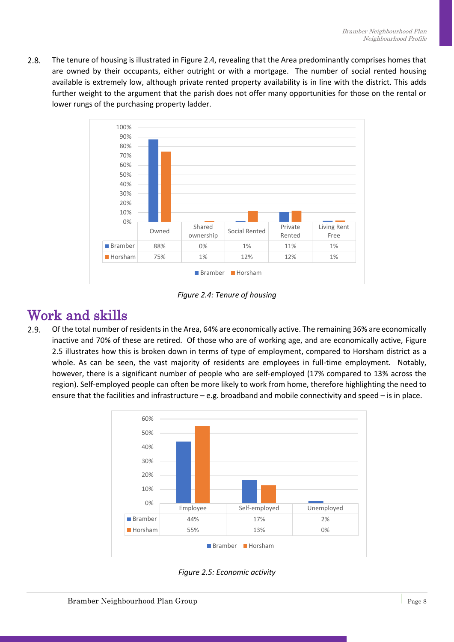$2.8.$ The tenure of housing is illustrated in Figure 2.4, revealing that the Area predominantly comprises homes that are owned by their occupants, either outright or with a mortgage. The number of social rented housing available is extremely low, although private rented property availability is in line with the district. This adds further weight to the argument that the parish does not offer many opportunities for those on the rental or lower rungs of the purchasing property ladder.



*Figure 2.4: Tenure of housing*

#### Work and skills

 $2.9.$ Of the total number of residents in the Area, 64% are economically active. The remaining 36% are economically inactive and 70% of these are retired. Of those who are of working age, and are economically active, Figure 2.5 illustrates how this is broken down in terms of type of employment, compared to Horsham district as a whole. As can be seen, the vast majority of residents are employees in full-time employment. Notably, however, there is a significant number of people who are self-employed (17% compared to 13% across the region). Self-employed people can often be more likely to work from home, therefore highlighting the need to ensure that the facilities and infrastructure – e.g. broadband and mobile connectivity and speed – is in place.



*Figure 2.5: Economic activity*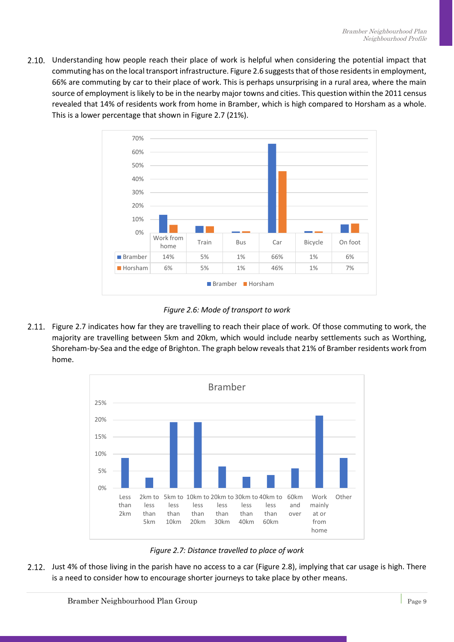2.10. Understanding how people reach their place of work is helpful when considering the potential impact that commuting has on the local transport infrastructure. Figure 2.6 suggests that of those residents in employment, 66% are commuting by car to their place of work. This is perhaps unsurprising in a rural area, where the main source of employment is likely to be in the nearby major towns and cities. This question within the 2011 census revealed that 14% of residents work from home in Bramber, which is high compared to Horsham as a whole. This is a lower percentage that shown in Figure 2.7 (21%).



*Figure 2.6: Mode of transport to work*

2.11. Figure 2.7 indicates how far they are travelling to reach their place of work. Of those commuting to work, the majority are travelling between 5km and 20km, which would include nearby settlements such as Worthing, Shoreham-by-Sea and the edge of Brighton. The graph below reveals that 21% of Bramber residents work from home.



*Figure 2.7: Distance travelled to place of work*

Just 4% of those living in the parish have no access to a car (Figure 2.8), implying that car usage is high. There is a need to consider how to encourage shorter journeys to take place by other means.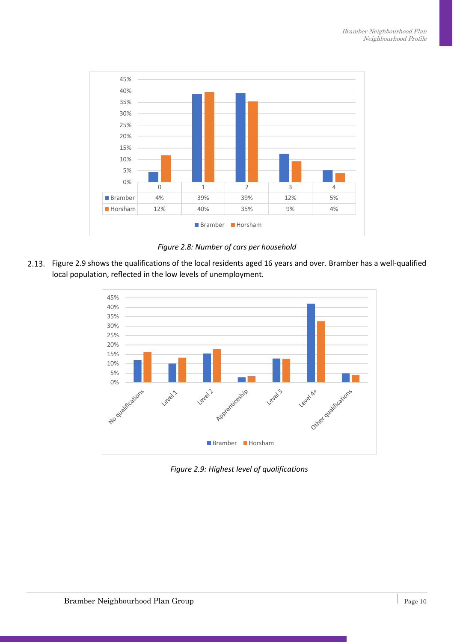

*Figure 2.8: Number of cars per household*

Figure 2.9 shows the qualifications of the local residents aged 16 years and over. Bramber has a well-qualified local population, reflected in the low levels of unemployment.



*Figure 2.9: Highest level of qualifications*